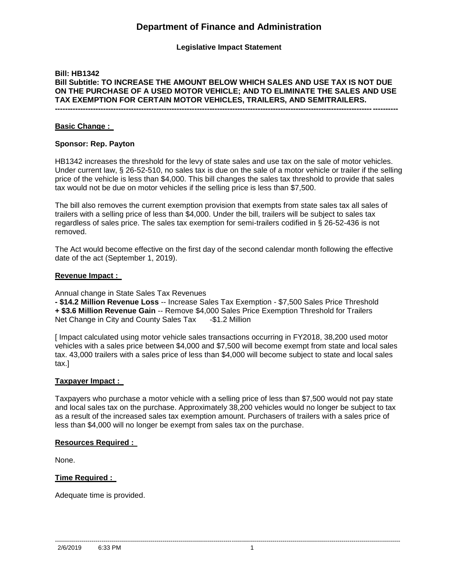# **Department of Finance and Administration**

**Legislative Impact Statement**

# **Bill: HB1342 Bill Subtitle: TO INCREASE THE AMOUNT BELOW WHICH SALES AND USE TAX IS NOT DUE ON THE PURCHASE OF A USED MOTOR VEHICLE; AND TO ELIMINATE THE SALES AND USE TAX EXEMPTION FOR CERTAIN MOTOR VEHICLES, TRAILERS, AND SEMITRAILERS.**

**---------------------------------------------------------------------------------------------------------------------------------------**

## **Basic Change :**

### **Sponsor: Rep. Payton**

HB1342 increases the threshold for the levy of state sales and use tax on the sale of motor vehicles. Under current law, § 26-52-510, no sales tax is due on the sale of a motor vehicle or trailer if the selling price of the vehicle is less than \$4,000. This bill changes the sales tax threshold to provide that sales tax would not be due on motor vehicles if the selling price is less than \$7,500.

The bill also removes the current exemption provision that exempts from state sales tax all sales of trailers with a selling price of less than \$4,000. Under the bill, trailers will be subject to sales tax regardless of sales price. The sales tax exemption for semi-trailers codified in § 26-52-436 is not removed.

The Act would become effective on the first day of the second calendar month following the effective date of the act (September 1, 2019).

### **Revenue Impact :**

Annual change in State Sales Tax Revenues

**- \$14.2 Million Revenue Loss** -- Increase Sales Tax Exemption - \$7,500 Sales Price Threshold **+ \$3.6 Million Revenue Gain** -- Remove \$4,000 Sales Price Exemption Threshold for Trailers Net Change in City and County Sales Tax -\$1.2 Million

[ Impact calculated using motor vehicle sales transactions occurring in FY2018, 38,200 used motor vehicles with a sales price between \$4,000 and \$7,500 will become exempt from state and local sales tax. 43,000 trailers with a sales price of less than \$4,000 will become subject to state and local sales tax.]

# **Taxpayer Impact :**

Taxpayers who purchase a motor vehicle with a selling price of less than \$7,500 would not pay state and local sales tax on the purchase. Approximately 38,200 vehicles would no longer be subject to tax as a result of the increased sales tax exemption amount. Purchasers of trailers with a sales price of less than \$4,000 will no longer be exempt from sales tax on the purchase.

#### **Resources Required :**

None.

# **Time Required :**

Adequate time is provided.